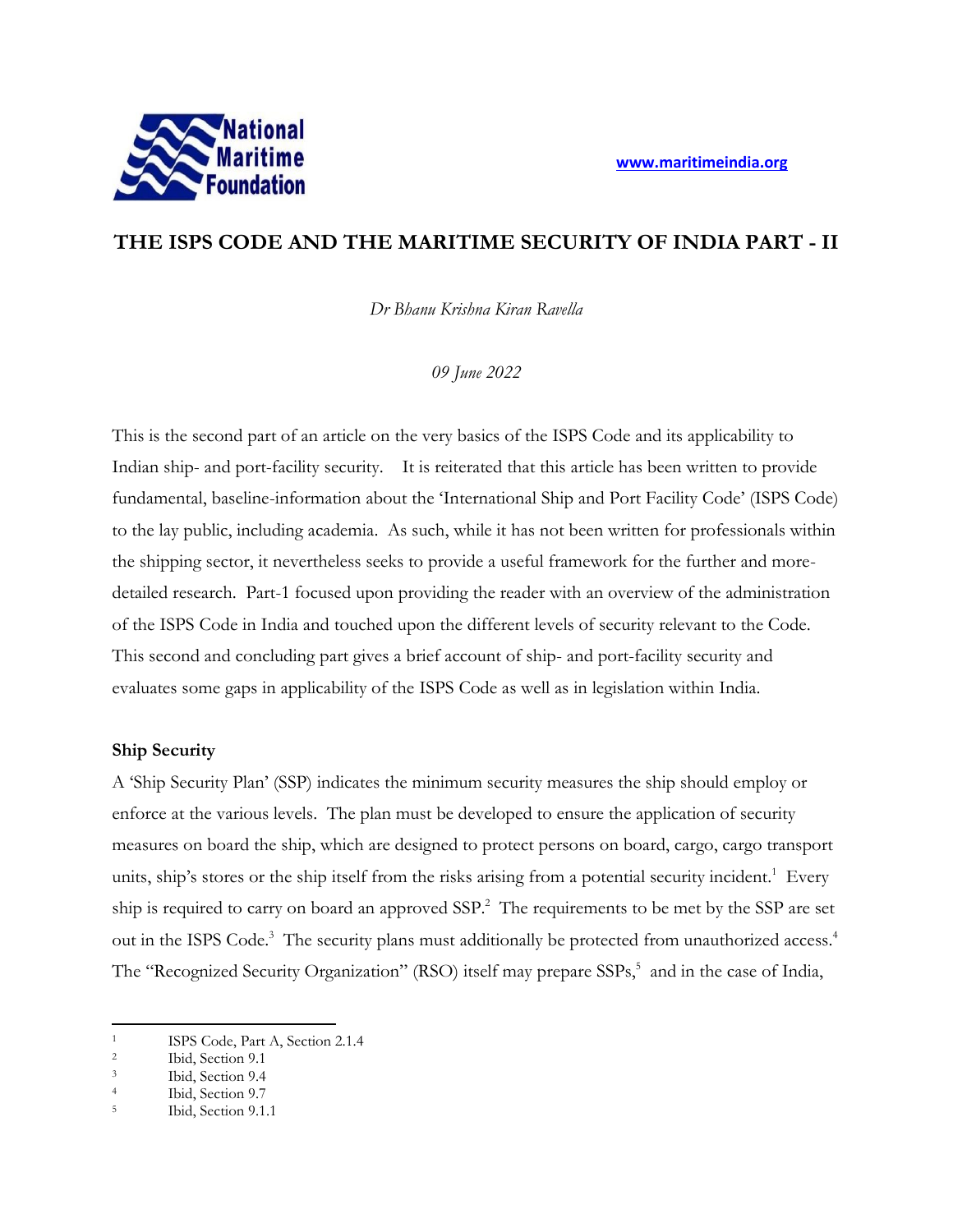

# **THE ISPS CODE AND THE MARITIME SECURITY OF INDIA PART - II**

*Dr Bhanu Krishna Kiran Ravella*

*09 June 2022*

This is the second part of an article on the very basics of the ISPS Code and its applicability to Indian ship- and port-facility security. It is reiterated that this article has been written to provide fundamental, baseline-information about the 'International Ship and Port Facility Code' (ISPS Code) to the lay public, including academia. As such, while it has not been written for professionals within the shipping sector, it nevertheless seeks to provide a useful framework for the further and moredetailed research. Part-1 focused upon providing the reader with an overview of the administration of the ISPS Code in India and touched upon the different levels of security relevant to the Code. This second and concluding part gives a brief account of ship- and port-facility security and evaluates some gaps in applicability of the ISPS Code as well as in legislation within India.

## **Ship Security**

A 'Ship Security Plan' (SSP) indicates the minimum security measures the ship should employ or enforce at the various levels. The plan must be developed to ensure the application of security measures on board the ship, which are designed to protect persons on board, cargo, cargo transport units, ship's stores or the ship itself from the risks arising from a potential security incident.<sup>1</sup> Every ship is required to carry on board an approved SSP.<sup>2</sup> The requirements to be met by the SSP are set out in the ISPS Code.<sup>3</sup> The security plans must additionally be protected from unauthorized access.<sup>4</sup> The "Recognized Security Organization" (RSO) itself may prepare SSPs,<sup>5</sup> and in the case of India,

<sup>&</sup>lt;sup>1</sup> ISPS Code, Part A, Section 2.1.4<sup>2</sup>

Ibid, Section 9.1

<sup>3</sup> Ibid, Section 9.4

<sup>4</sup> Ibid, Section 9.7

<sup>5</sup> Ibid, Section 9.1.1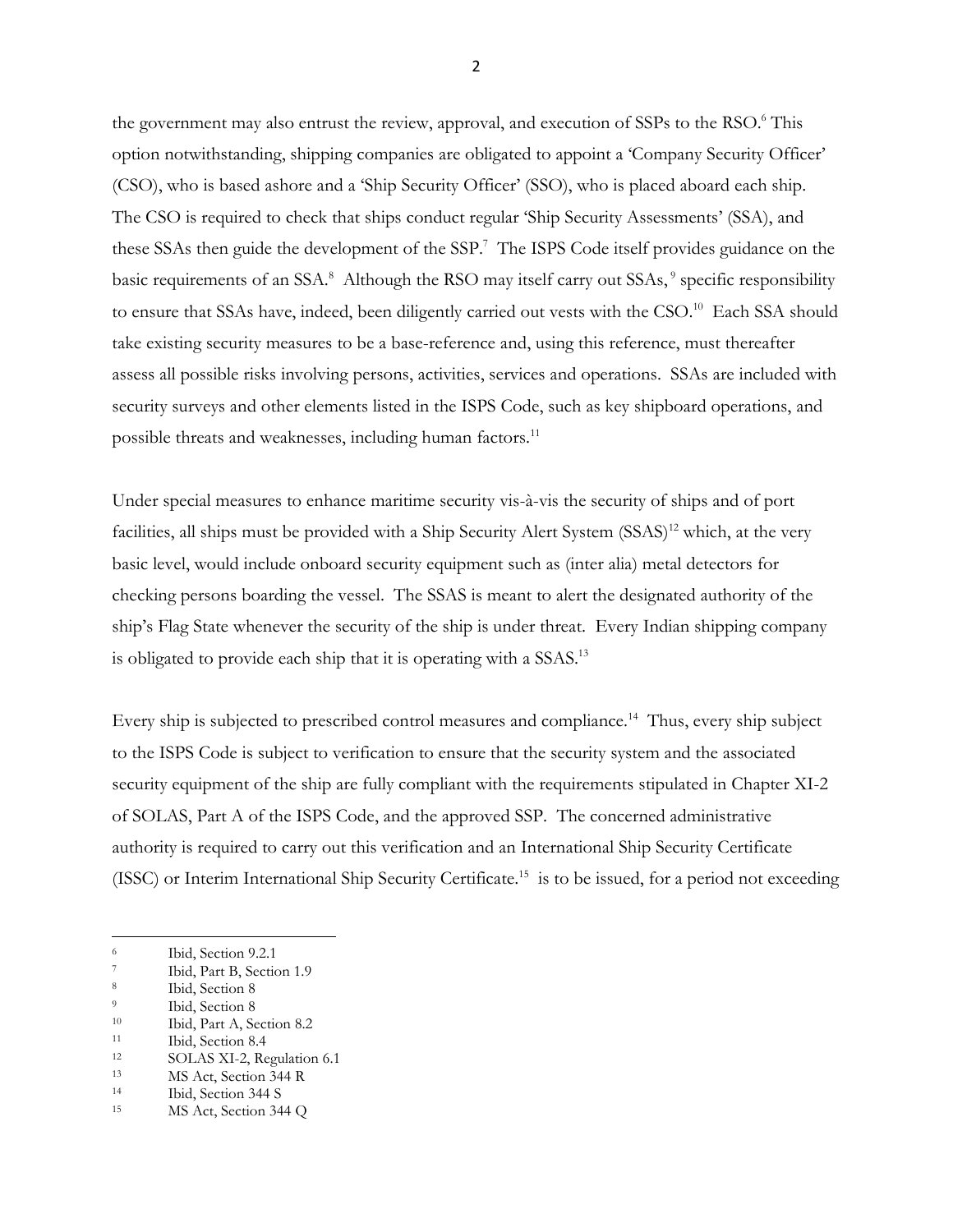the government may also entrust the review, approval, and execution of SSPs to the RSO.<sup>6</sup> This option notwithstanding, shipping companies are obligated to appoint a 'Company Security Officer' (CSO), who is based ashore and a 'Ship Security Officer' (SSO), who is placed aboard each ship. The CSO is required to check that ships conduct regular 'Ship Security Assessments' (SSA), and these SSAs then guide the development of the SSP.<sup>7</sup> The ISPS Code itself provides guidance on the basic requirements of an SSA.<sup>8</sup> Although the RSO may itself carry out SSAs,<sup>9</sup> specific responsibility to ensure that SSAs have, indeed, been diligently carried out vests with the CSO.<sup>10</sup> Each SSA should take existing security measures to be a base-reference and, using this reference, must thereafter assess all possible risks involving persons, activities, services and operations. SSAs are included with security surveys and other elements listed in the ISPS Code, such as key shipboard operations, and possible threats and weaknesses, including human factors.<sup>11</sup>

Under special measures to enhance maritime security vis-à-vis the security of ships and of port facilities, all ships must be provided with a Ship Security Alert System (SSAS)<sup>12</sup> which, at the very basic level, would include onboard security equipment such as (inter alia) metal detectors for checking persons boarding the vessel. The SSAS is meant to alert the designated authority of the ship's Flag State whenever the security of the ship is under threat. Every Indian shipping company is obligated to provide each ship that it is operating with a SSAS.<sup>13</sup>

Every ship is subjected to prescribed control measures and compliance.<sup>14</sup> Thus, every ship subject to the ISPS Code is subject to verification to ensure that the security system and the associated security equipment of the ship are fully compliant with the requirements stipulated in Chapter XI-2 of SOLAS, Part A of the ISPS Code, and the approved SSP. The concerned administrative authority is required to carry out this verification and an International Ship Security Certificate (ISSC) or Interim International Ship Security Certificate.<sup>15</sup> is to be issued, for a period not exceeding

2

<sup>&</sup>lt;sup>6</sup> Ibid, Section 9.2.1

<sup>&</sup>lt;sup>7</sup> Ibid, Part B, Section 1.9<br><sup>8</sup> Ibid Section 8

<sup>8</sup> Ibid, Section 8

<sup>&</sup>lt;sup>9</sup> Ibid, Section 8

<sup>10</sup> Ibid, Part A, Section 8.2

<sup>&</sup>lt;sup>11</sup> Ibid, Section 8.4<br><sup>12</sup> SOLAS XI 2 Be

SOLAS XI-2, Regulation 6.1

<sup>13</sup> MS Act, Section 344 R

<sup>14</sup> Ibid, Section 344 S

<sup>15</sup> MS Act, Section 344 Q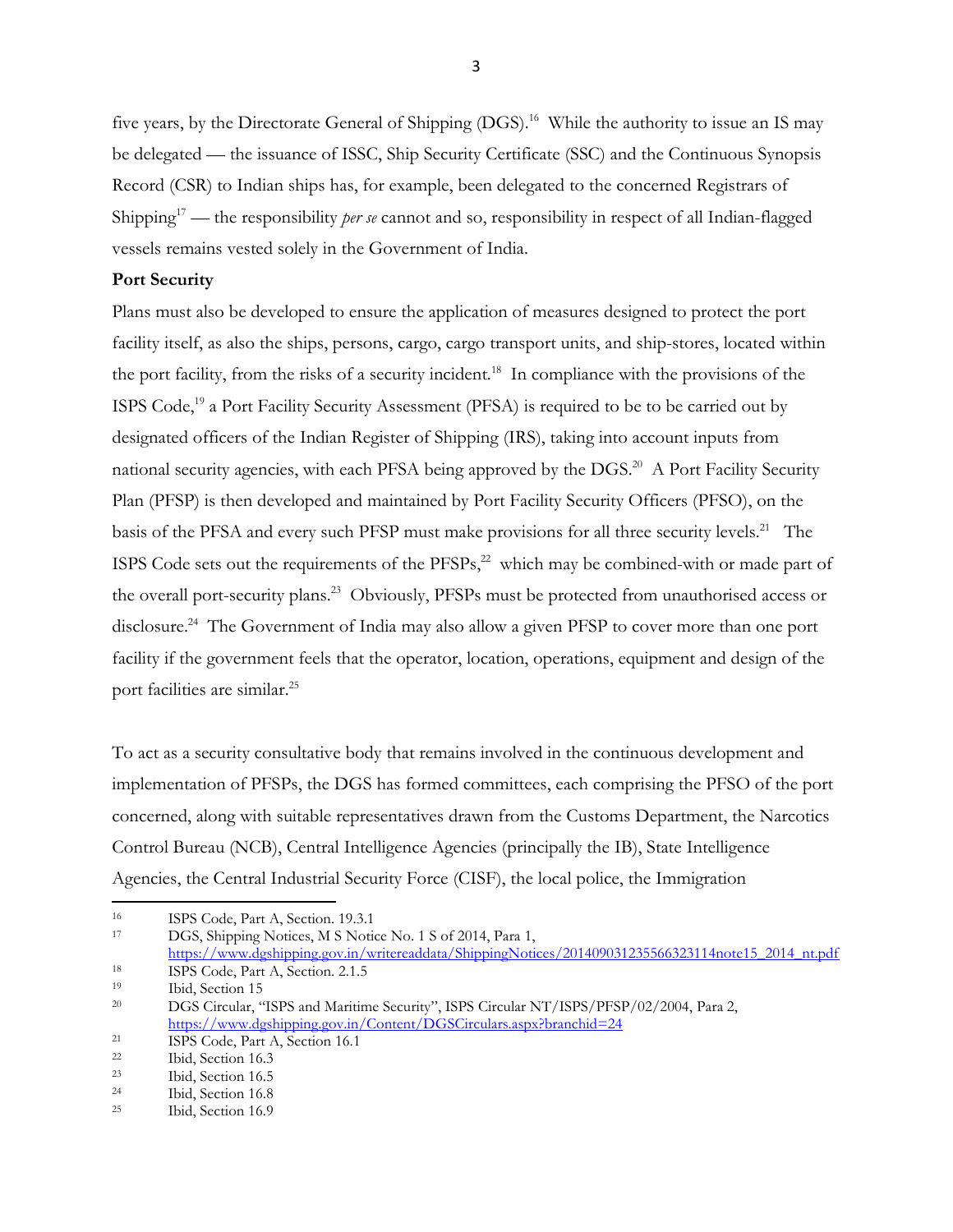five years, by the Directorate General of Shipping (DGS). 16 While the authority to issue an IS may be delegated — the issuance of ISSC, Ship Security Certificate (SSC) and the Continuous Synopsis Record (CSR) to Indian ships has, for example, been delegated to the concerned Registrars of Shipping<sup>17</sup> — the responsibility *per se* cannot and so, responsibility in respect of all Indian-flagged vessels remains vested solely in the Government of India.

### **Port Security**

Plans must also be developed to ensure the application of measures designed to protect the port facility itself, as also the ships, persons, cargo, cargo transport units, and ship-stores, located within the port facility, from the risks of a security incident.<sup>18</sup> In compliance with the provisions of the ISPS Code,<sup>19</sup> a Port Facility Security Assessment (PFSA) is required to be to be carried out by designated officers of the Indian Register of Shipping (IRS), taking into account inputs from national security agencies, with each PFSA being approved by the DGS.<sup>20</sup> A Port Facility Security Plan (PFSP) is then developed and maintained by Port Facility Security Officers (PFSO), on the basis of the PFSA and every such PFSP must make provisions for all three security levels.<sup>21</sup> The ISPS Code sets out the requirements of the  $PFSPs<sub>1</sub><sup>22</sup>$  which may be combined-with or made part of the overall port-security plans.<sup>23</sup> Obviously, PFSPs must be protected from unauthorised access or disclosure.<sup>24</sup> The Government of India may also allow a given PFSP to cover more than one port facility if the government feels that the operator, location, operations, equipment and design of the port facilities are similar. 25

To act as a security consultative body that remains involved in the continuous development and implementation of PFSPs, the DGS has formed committees, each comprising the PFSO of the port concerned, along with suitable representatives drawn from the Customs Department, the Narcotics Control Bureau (NCB), Central Intelligence Agencies (principally the IB), State Intelligence Agencies, the Central Industrial Security Force (CISF), the local police, the Immigration

<sup>16</sup> ISPS Code, Part A, Section. 19.3.1

DGS, Shipping Notices, M S Notice No. 1 S of 2014, Para 1, [https://www.dgshipping.gov.in/writereaddata/ShippingNotices/201409031235566323114note15\\_2014\\_nt.pdf](https://www.dgshipping.gov.in/writereaddata/ShippingNotices/201409031235566323114note15_2014_nt.pdf) <sup>18</sup> ISPS Code, Part A, Section. 2.1.5

3

<sup>19</sup>

Ibid, Section 15

<sup>&</sup>lt;sup>20</sup> DGS Circular, "ISPS and Maritime Security", ISPS Circular NT/ISPS/PFSP/02/2004, Para 2, <https://www.dgshipping.gov.in/Content/DGSCirculars.aspx?branchid=24>

<sup>&</sup>lt;sup>21</sup> ISPS Code, Part A, Section 16.1<br><sup>22</sup> Ibid Section 16.3

Ibid, Section 16.3

<sup>23</sup> Ibid, Section 16.5

<sup>&</sup>lt;sup>24</sup> Ibid, Section 16.8<br><sup>25</sup> Ibid Section 16.9

Ibid, Section 16.9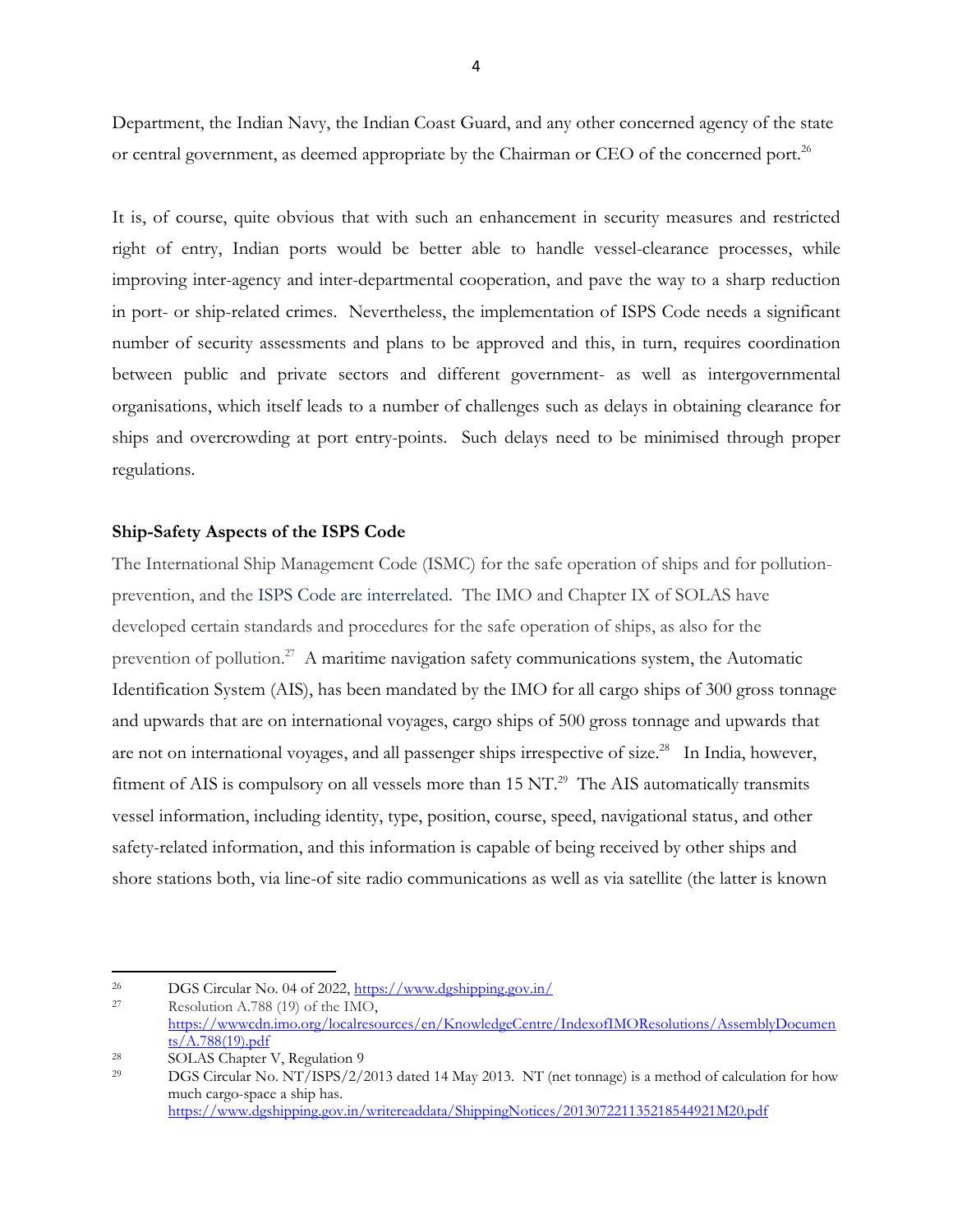Department, the Indian Navy, the Indian Coast Guard, and any other concerned agency of the state or central government, as deemed appropriate by the Chairman or CEO of the concerned port.<sup>26</sup>

It is, of course, quite obvious that with such an enhancement in security measures and restricted right of entry, Indian ports would be better able to handle vessel-clearance processes, while improving inter-agency and inter-departmental cooperation, and pave the way to a sharp reduction in port- or ship-related crimes. Nevertheless, the implementation of ISPS Code needs a significant number of security assessments and plans to be approved and this, in turn, requires coordination between public and private sectors and different government- as well as intergovernmental organisations, which itself leads to a number of challenges such as delays in obtaining clearance for ships and overcrowding at port entry-points. Such delays need to be minimised through proper regulations.

#### **Ship-Safety Aspects of the ISPS Code**

The International Ship Management Code (ISMC) for the safe operation of ships and for pollutionprevention, and the ISPS Code are interrelated. The IMO and Chapter IX of SOLAS have developed certain standards and procedures for the safe operation of ships, as also for the prevention of pollution.<sup>27</sup> A maritime navigation safety communications system, the Automatic Identification System (AIS), has been mandated by the IMO for all cargo ships of 300 gross tonnage and upwards that are on international voyages, cargo ships of 500 gross tonnage and upwards that are not on international voyages, and all passenger ships irrespective of size.<sup>28</sup> In India, however, fitment of AIS is compulsory on all vessels more than 15 NT.<sup>29</sup> The AIS automatically transmits vessel information, including identity, type, position, course, speed, navigational status, and other safety-related information, and this information is capable of being received by other ships and shore stations both, via line-of site radio communications as well as via satellite (the latter is known

<sup>&</sup>lt;sup>26</sup> DGS Circular No. 04 of 2022,  $\frac{\text{https://www.dgshipping.gov.in/}}{\text{Bayesian}}$ 

Resolution A.788 (19) of the IMO, [https://wwwcdn.imo.org/localresources/en/KnowledgeCentre/IndexofIMOResolutions/AssemblyDocumen](https://wwwcdn.imo.org/localresources/en/KnowledgeCentre/IndexofIMOResolutions/AssemblyDocuments/A.788(19).pdf) [ts/A.788\(19\).pdf](https://wwwcdn.imo.org/localresources/en/KnowledgeCentre/IndexofIMOResolutions/AssemblyDocuments/A.788(19).pdf)

<sup>28</sup> SOLAS Chapter V, Regulation 9

<sup>29</sup> DGS Circular No. NT/ISPS/2/2013 dated 14 May 2013. NT (net tonnage) is a method of calculation for how much cargo-space a ship has. <https://www.dgshipping.gov.in/writereaddata/ShippingNotices/201307221135218544921M20.pdf>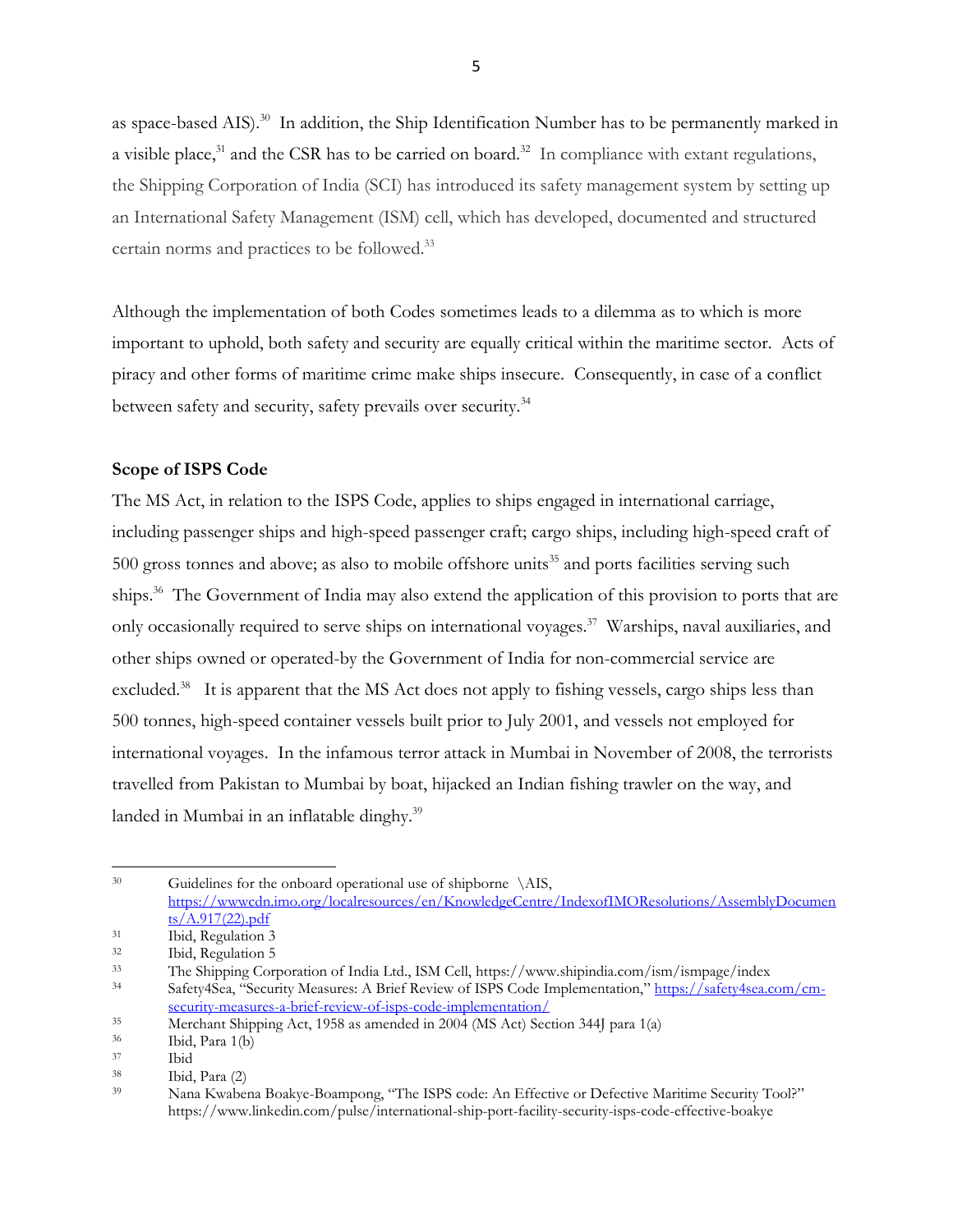as space-based AIS).<sup>30</sup> In addition, the Ship Identification Number has to be permanently marked in a visible place,<sup>31</sup> and the CSR has to be carried on board.<sup>32</sup> In compliance with extant regulations, the Shipping Corporation of India (SCI) has introduced its safety management system by setting up an International Safety Management (ISM) cell, which has developed, documented and structured certain norms and practices to be followed.<sup>33</sup>

Although the implementation of both Codes sometimes leads to a dilemma as to which is more important to uphold, both safety and security are equally critical within the maritime sector. Acts of piracy and other forms of maritime crime make ships insecure. Consequently, in case of a conflict between safety and security, safety prevails over security.<sup>34</sup>

## **Scope of ISPS Code**

The MS Act, in relation to the ISPS Code, applies to ships engaged in international carriage, including passenger ships and high-speed passenger craft; cargo ships, including high-speed craft of 500 gross tonnes and above; as also to mobile offshore units<sup>35</sup> and ports facilities serving such ships.<sup>36</sup> The Government of India may also extend the application of this provision to ports that are only occasionally required to serve ships on international voyages.<sup>37</sup> Warships, naval auxiliaries, and other ships owned or operated-by the Government of India for non-commercial service are excluded.<sup>38</sup> It is apparent that the MS Act does not apply to fishing vessels, cargo ships less than 500 tonnes, high-speed container vessels built prior to July 2001, and vessels not employed for international voyages. In the infamous terror attack in Mumbai in November of 2008, the terrorists travelled from Pakistan to Mumbai by boat, hijacked an Indian fishing trawler on the way, and landed in Mumbai in an inflatable dinghy.<sup>39</sup>

<sup>30</sup> Guidelines for the onboard operational use of shipborne \AIS, [https://wwwcdn.imo.org/localresources/en/KnowledgeCentre/IndexofIMOResolutions/AssemblyDocumen](https://wwwcdn.imo.org/localresources/en/KnowledgeCentre/IndexofIMOResolutions/AssemblyDocuments/A.917(22).pdf) [ts/A.917\(22\).pdf](https://wwwcdn.imo.org/localresources/en/KnowledgeCentre/IndexofIMOResolutions/AssemblyDocuments/A.917(22).pdf)

<sup>31</sup> Ibid, Regulation 3

 $32$  Ibid, Regulation 5<br> $33$  The Shipping Corr

<sup>33</sup> The Shipping Corporation of India Ltd., ISM Cell, https://www.shipindia.com/ism/ismpage/index

Safety4Sea, "Security Measures: A Brief Review of ISPS Code Implementation," [https://safety4sea.com/cm](https://safety4sea.com/cm-security-measures-a-brief-review-of-isps-code-implementation/)[security-measures-a-brief-review-of-isps-code-implementation/](https://safety4sea.com/cm-security-measures-a-brief-review-of-isps-code-implementation/)

<sup>35</sup> Merchant Shipping Act, 1958 as amended in 2004 (MS Act) Section 344J para 1(a)

 $\frac{36}{37}$  Ibid, Para 1(b)

<sup>37</sup> Ibid

<sup>38</sup> Ibid, Para (2)

<sup>39</sup> Nana Kwabena Boakye-Boampong, "The ISPS code: An Effective or Defective Maritime Security Tool?" https://www.linkedin.com/pulse/international-ship-port-facility-security-isps-code-effective-boakye